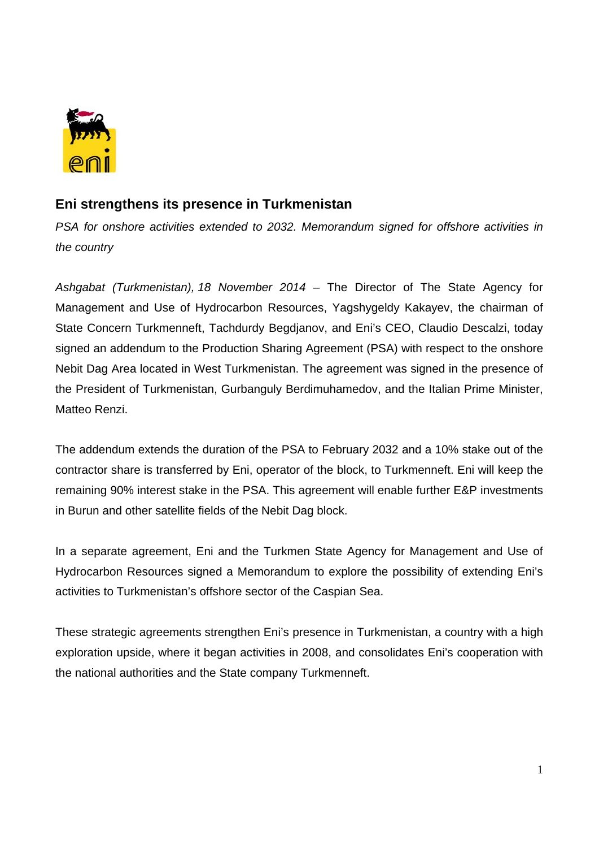

## **Eni strengthens its presence in Turkmenistan**

*PSA for onshore activities extended to 2032. Memorandum signed for offshore activities in the country* 

*Ashgabat (Turkmenistan), 18 November 2014* – The Director of The State Agency for Management and Use of Hydrocarbon Resources, Yagshygeldy Kakayev, the chairman of State Concern Turkmenneft, Tachdurdy Begdjanov, and Eni's CEO, Claudio Descalzi, today signed an addendum to the Production Sharing Agreement (PSA) with respect to the onshore Nebit Dag Area located in West Turkmenistan. The agreement was signed in the presence of the President of Turkmenistan, Gurbanguly Berdimuhamedov, and the Italian Prime Minister, Matteo Renzi.

The addendum extends the duration of the PSA to February 2032 and a 10% stake out of the contractor share is transferred by Eni, operator of the block, to Turkmenneft. Eni will keep the remaining 90% interest stake in the PSA. This agreement will enable further E&P investments in Burun and other satellite fields of the Nebit Dag block.

In a separate agreement, Eni and the Turkmen State Agency for Management and Use of Hydrocarbon Resources signed a Memorandum to explore the possibility of extending Eni's activities to Turkmenistan's offshore sector of the Caspian Sea.

These strategic agreements strengthen Eni's presence in Turkmenistan, a country with a high exploration upside, where it began activities in 2008, and consolidates Eni's cooperation with the national authorities and the State company Turkmenneft.